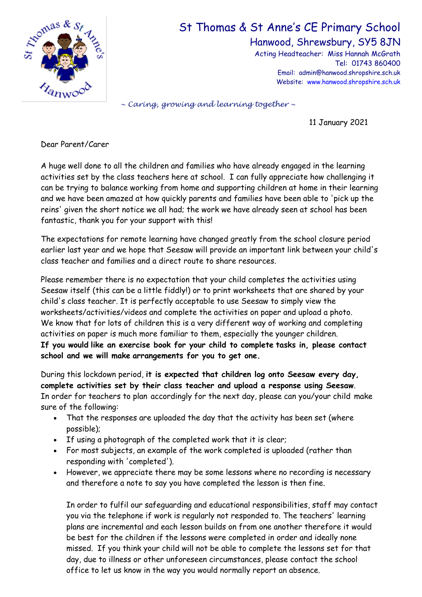

## St Thomas & St Anne's CE Primary School

Hanwood, Shrewsbury, SY5 8JN

Acting Headteacher: Miss Hannah McGrath Tel: 01743 860400 Email: admin@hanwood.shropshire.sch.uk Website: [www.hanwood.shropshire.sch.uk](http://www.hanwood.shropshire.sch.uk/)

*~ Caring, growing and learning together ~*

11 January 2021

Dear Parent/Carer

A huge well done to all the children and families who have already engaged in the learning activities set by the class teachers here at school. I can fully appreciate how challenging it can be trying to balance working from home and supporting children at home in their learning and we have been amazed at how quickly parents and families have been able to 'pick up the reins' given the short notice we all had; the work we have already seen at school has been fantastic, thank you for your support with this!

The expectations for remote learning have changed greatly from the school closure period earlier last year and we hope that Seesaw will provide an important link between your child's class teacher and families and a direct route to share resources.

Please remember there is no expectation that your child completes the activities using Seesaw itself (this can be a little fiddly!) or to print worksheets that are shared by your child's class teacher. It is perfectly acceptable to use Seesaw to simply view the worksheets/activities/videos and complete the activities on paper and upload a photo. We know that for lots of children this is a very different way of working and completing activities on paper is much more familiar to them, especially the younger children. **If you would like an exercise book for your child to complete tasks in, please contact school and we will make arrangements for you to get one.**

During this lockdown period, **it is expected that children log onto Seesaw every day, complete activities set by their class teacher and upload a response using Seesaw**. In order for teachers to plan accordingly for the next day, please can you/your child make sure of the following:

- That the responses are uploaded the day that the activity has been set (where possible);
- If using a photograph of the completed work that it is clear;
- For most subjects, an example of the work completed is uploaded (rather than responding with 'completed').
- However, we appreciate there may be some lessons where no recording is necessary and therefore a note to say you have completed the lesson is then fine.

In order to fulfil our safeguarding and educational responsibilities, staff may contact you via the telephone if work is regularly not responded to. The teachers' learning plans are incremental and each lesson builds on from one another therefore it would be best for the children if the lessons were completed in order and ideally none missed. If you think your child will not be able to complete the lessons set for that day, due to illness or other unforeseen circumstances, please contact the school office to let us know in the way you would normally report an absence.